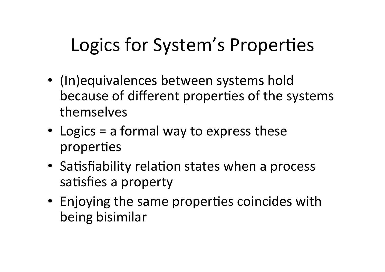## Logics for System's Properties

- (In)equivalences between systems hold because of different properties of the systems themselves
- Logics  $=$  a formal way to express these properties
- Satisfiability relation states when a process satisfies a property
- Enjoying the same properties coincides with being bisimilar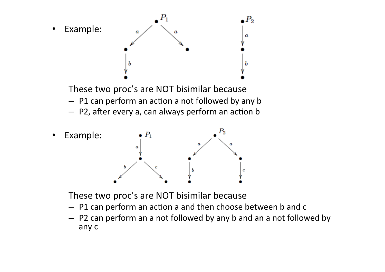



These two proc's are NOT bisimilar because

- $-$  P1 can perform an action a and then choose between b and c
- $-$  P2 can perform an a not followed by any b and an a not followed by any c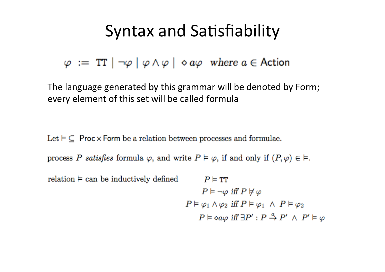## Syntax and Satisfiability

 $\varphi := \text{TT} \mid \neg \varphi \mid \varphi \wedge \varphi \mid \Diamond a\varphi$  where  $a \in \text{Action}$ 

The language generated by this grammar will be denoted by Form; every element of this set will be called formula

Let  $\models \subseteq$  Proc  $\times$  Form be a relation between processes and formulae.

process P satisfies formula  $\varphi$ , and write  $P \vDash \varphi$ , if and only if  $(P, \varphi) \in \vDash$ .

```
relation \models can be inductively defined
                                                                                              P \vDash TT
                                                                                              P \models \neg \varphi iff P \not\models \varphiP \vDash \varphi_1 \land \varphi_2 iff P \vDash \varphi_1 \land P \vDash \varphi_2P \models \circ a\varphi \text{ iff } \exists P' : P \stackrel{a}{\rightarrow} P' \land P' \models \varphi
```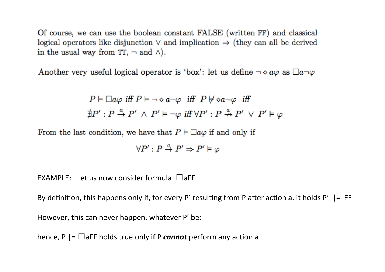Of course, we can use the boolean constant FALSE (written FF) and classical logical operators like disjunction  $\vee$  and implication  $\Rightarrow$  (they can all be derived in the usual way from TT,  $\neg$  and  $\wedge$ ).

Another very useful logical operator is 'box': let us define  $\neg \diamond a\varphi$  as  $\Box a\neg \varphi$ 

$$
P \vDash \Box a\varphi \text{ iff } P \vDash \neg \diamond a\neg \varphi \text{ iff } P \not\models \diamond a\neg \varphi \text{ iff } \\
\nexists P' : P \xrightarrow{a} P' \land P' \vDash \neg \varphi \text{ iff } \forall P' : P \xrightarrow{a} P' \lor P' \vDash \varphi
$$

From the last condition, we have that  $P \models \Box a\varphi$  if and only if

$$
\forall P': P \stackrel{a}{\rightarrow} P' \Rightarrow P' \vDash \varphi
$$

EXAMPLE: Let us now consider formula  $\Box$ aFF

By definition, this happens only if, for every P' resulting from P after action a, it holds P'  $\vert =$  FF However, this can never happen, whatever P' be;

hence,  $P \mid = \square$ aFF holds true only if P *cannot* perform any action a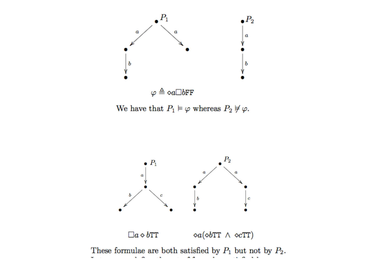

We have that  $P_1 \models \varphi$  whereas  $P_2 \not\models \varphi$ .

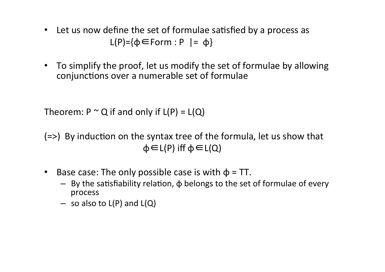- Let us now define the set of formulae satisfied by a process as  $L(P)=\{\varphi \in Form : P \mid = \varphi\}$
- To simplify the proof, let us modify the set of formulae by allowing conjunctions over a numerable set of formulae

Theorem:  $P \sim Q$  if and only if  $L(P) = L(Q)$ 

 $(=)$  By induction on the syntax tree of the formula, let us show that  $\varphi \in L(P)$  iff  $\varphi \in L(Q)$ 

- Base case: The only possible case is with  $\phi$  = TT.
	- $-$  By the satisfiability relation,  $\phi$  belongs to the set of formulae of every process
	- $-$  so also to L(P) and L(Q)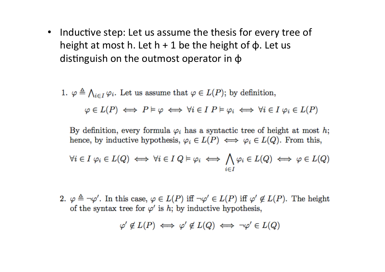• Inductive step: Let us assume the thesis for every tree of height at most h. Let  $h + 1$  be the height of  $\phi$ . Let us distinguish on the outmost operator in  $\phi$ 

1. 
$$
\varphi \triangleq \bigwedge_{i \in I} \varphi_i
$$
. Let us assume that  $\varphi \in L(P)$ ; by definition,  
 $\varphi \in L(P) \iff P \models \varphi \iff \forall i \in I \ P \models \varphi_i \iff \forall i \in I \ \varphi_i \in L(P)$ 

By definition, every formula  $\varphi_i$  has a syntactic tree of height at most h; hence, by inductive hypothesis,  $\varphi_i \in L(P) \iff \varphi_i \in L(Q)$ . From this,

$$
\forall i \in I \ \varphi_i \in L(Q) \iff \forall i \in I \ Q \models \varphi_i \iff \bigwedge_{i \in I} \varphi_i \in L(Q) \iff \varphi \in L(Q)
$$

2.  $\varphi \triangleq \neg \varphi'$ . In this case,  $\varphi \in L(P)$  iff  $\neg \varphi' \in L(P)$  iff  $\varphi' \notin L(P)$ . The height of the syntax tree for  $\varphi'$  is h; by inductive hypothesis,

$$
\varphi' \notin L(P) \iff \varphi' \notin L(Q) \iff \neg \varphi' \in L(Q)
$$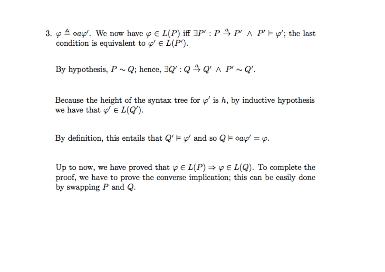3.  $\varphi \triangleq \varphi \varphi'$ . We now have  $\varphi \in L(P)$  iff  $\exists P' : P \stackrel{a}{\rightarrow} P' \land P' \models \varphi'$ ; the last condition is equivalent to  $\varphi \in L(P')$ .

By hypothesis,  $P \sim Q$ ; hence,  $\exists Q' : Q \stackrel{a}{\rightarrow} Q' \land P' \sim Q'$ .

Because the height of the syntax tree for  $\varphi'$  is h, by inductive hypothesis we have that  $\varphi' \in L(Q')$ .

By definition, this entails that  $Q' \models \varphi'$  and so  $Q \models \Diamond a\varphi' = \varphi$ .

Up to now, we have proved that  $\varphi \in L(P) \Rightarrow \varphi \in L(Q)$ . To complete the proof, we have to prove the converse implication; this can be easily done by swapping  $P$  and  $Q$ .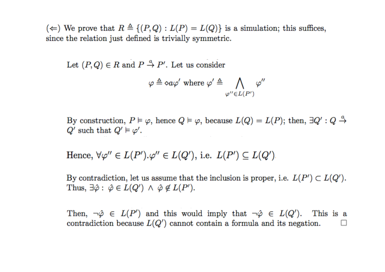(←) We prove that  $R \triangleq \{(P,Q): L(P) = L(Q)\}\$ is a simulation; this suffices, since the relation just defined is trivially symmetric.

Let  $(P,Q) \in R$  and  $P \stackrel{a}{\rightarrow} P'$ . Let us consider

$$
\varphi \triangleq \diamond a\varphi' \text{ where } \varphi' \triangleq \bigwedge_{\varphi'' \in L(P')} \varphi''
$$

By construction,  $P \models \varphi$ , hence  $Q \models \varphi$ , because  $L(Q) = L(P)$ ; then,  $\exists Q' : Q \stackrel{a}{\rightarrow}$  $Q'$  such that  $Q' \vDash \varphi'$ .

Hence,  $\forall \varphi'' \in L(P') \cdot \varphi'' \in L(Q')$ , i.e.  $L(P') \subseteq L(Q')$ .

By contradiction, let us assume that the inclusion is proper, i.e.  $L(P') \subset L(Q')$ . Thus,  $\exists \hat{\varphi} : \hat{\varphi} \in L(Q') \land \hat{\varphi} \notin L(P')$ .

Then,  $\neg \hat{\varphi} \in L(P')$  and this would imply that  $\neg \hat{\varphi} \in L(Q')$ . This is a contradiction because  $L(Q')$  cannot contain a formula and its negation.  $\Box$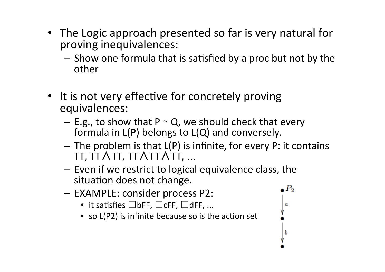- The Logic approach presented so far is very natural for proving inequivalences:
	- $-$  Show one formula that is satisfied by a proc but not by the other
- It is not very effective for concretely proving equivalences:
	- E.g., to show that P  $\sim$  Q, we should check that every formula in  $L(P)$  belongs to  $L(Q)$  and conversely.
	- $-$  The problem is that  $L(P)$  is infinite, for every P: it contains TT, TT∧TT, TT∧TT∧TT, …

a

ь

- $-$  Even if we restrict to logical equivalence class, the situation does not change.  $_\bullet$   $P_2$
- EXAMPLE: consider process P2:
	- it satisfies  $\Box$ bFF,  $\Box$ cFF,  $\Box$ dFF, ...
	- so L(P2) is infinite because so is the action set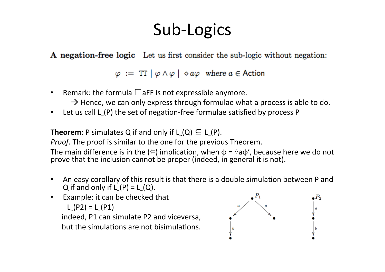## Sub-Logics

A negation-free logic Let us first consider the sub-logic without negation:

 $\varphi := TT | \varphi \wedge \varphi | \diamond a\varphi \text{ where } a \in \text{Action}$ 

- Remark: the formula  $\Box$ aFF is not expressible anymore.
	- $\rightarrow$  Hence, we can only express through formulae what a process is able to do.
- Let us call  $L(P)$  the set of negation-free formulae satisfied by process P

**Theorem:** P simulates Q if and only if L (Q)  $\subseteq$  L (P).

*Proof.* The proof is similar to the one for the previous Theorem.

The main difference is in the  $(\Leftarrow)$  implication, when  $\phi = \triangle$ a $\phi'$ , because here we do not prove that the inclusion cannot be proper (indeed, in general it is not).

- An easy corollary of this result is that there is a double simulation between P and Q if and only if  $L_P(P) = L_Q(Q)$ .
- Example: it can be checked that  $L_P(P2) = L_P(P1)$

indeed, P1 can simulate P2 and viceversa, but the simulations are not bisimulations.

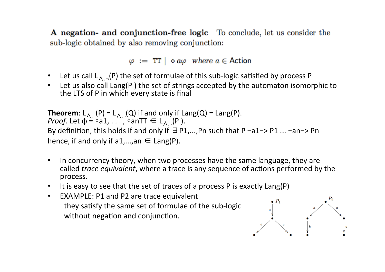A negation- and conjunction-free logic To conclude, let us consider the sub-logic obtained by also removing conjunction:

 $\varphi := TT \otimes a\varphi$  where  $a \in$  Action

- Let us call  $L_{\Lambda}$ ,  $($ P) the set of formulae of this sub-logic satisfied by process P
- Let us also call Lang(P) the set of strings accepted by the automaton isomorphic to the LTS of P in which every state is final

**Theorem**:  $L_{\Lambda,-}(P) = L_{\Lambda,-}(Q)$  if and only if  $Lang(Q) = Lang(P)$ . *Proof.* Let  $\phi = \delta a_1, \ldots, \delta a_n$  and  $\theta = \phi$ . By definition, this holds if and only if  $\exists P1,...,Pn$  such that P -a1-> P1 ... -an-> Pn hence, if and only if  $a1,...,an \in$  Lang(P).

- In concurrency theory, when two processes have the same language, they are called *trace equivalent*, where a trace is any sequence of actions performed by the process.
- It is easy to see that the set of traces of a process P is exactly Lang(P)
- EXAMPLE: P1 and P2 are trace equivalent they satisfy the same set of formulae of the sub-logic without negation and conjunction.